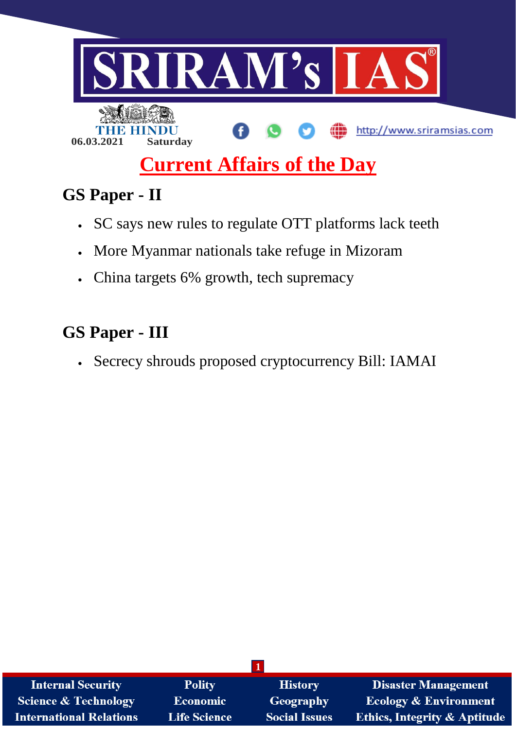

# **GS Paper - II**

- SC says new rules to regulate OTT platforms lack teeth
- More Myanmar nationals take refuge in Mizoram
- China targets 6% growth, tech supremacy

## **GS Paper - III**

Secrecy shrouds proposed cryptocurrency Bill: IAMAI

| <b>Internal Security</b>        | <b>Polity</b>       | <b>History</b>       | <b>Disaster Management</b>              |
|---------------------------------|---------------------|----------------------|-----------------------------------------|
| <b>Science &amp; Technology</b> | <b>Economic</b>     | Geography            | <b>Ecology &amp; Environment</b>        |
| <b>International Relations</b>  | <b>Life Science</b> | <b>Social Issues</b> | <b>Ethics, Integrity &amp; Aptitude</b> |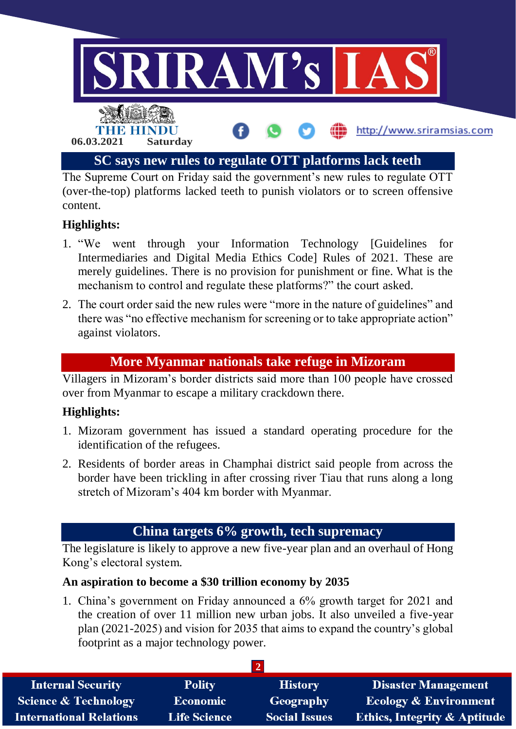

The Supreme Court on Friday said the government's new rules to regulate OTT (over-the-top) platforms lacked teeth to punish violators or to screen offensive content.

#### **Highlights:**

- 1. "We went through your Information Technology [Guidelines for Intermediaries and Digital Media Ethics Code] Rules of 2021. These are merely guidelines. There is no provision for punishment or fine. What is the mechanism to control and regulate these platforms?" the court asked.
- 2. The court order said the new rules were "more in the nature of guidelines" and there was "no effective mechanism for screening or to take appropriate action" against violators.

#### **More Myanmar nationals take refuge in Mizoram**

Villagers in Mizoram's border districts said more than 100 people have crossed over from Myanmar to escape a military crackdown there.

#### **Highlights:**

- 1. Mizoram government has issued a standard operating procedure for the identification of the refugees.
- 2. Residents of border areas in Champhai district said people from across the border have been trickling in after crossing river Tiau that runs along a long stretch of Mizoram's 404 km border with Myanmar.

## **China targets 6% growth, tech supremacy**

The legislature is likely to approve a new five-year plan and an overhaul of Hong Kong's electoral system.

#### **An aspiration to become a \$30 trillion economy by 2035**

1. China's government on Friday announced a 6% growth target for 2021 and the creation of over 11 million new urban jobs. It also unveiled a five-year plan (2021-2025) and vision for 2035 that aims to expand the country's global footprint as a major technology power.

| <b>Internal Security</b>        | <b>Polity</b>       | <b>History</b>       | <b>Disaster Management</b>       |  |  |
|---------------------------------|---------------------|----------------------|----------------------------------|--|--|
| <b>Science &amp; Technology</b> | <b>Economic</b>     | Geography            | <b>Ecology &amp; Environment</b> |  |  |
| <b>International Relations</b>  | <b>Life Science</b> | <b>Social Issues</b> | Ethics, Integrity & Aptitude     |  |  |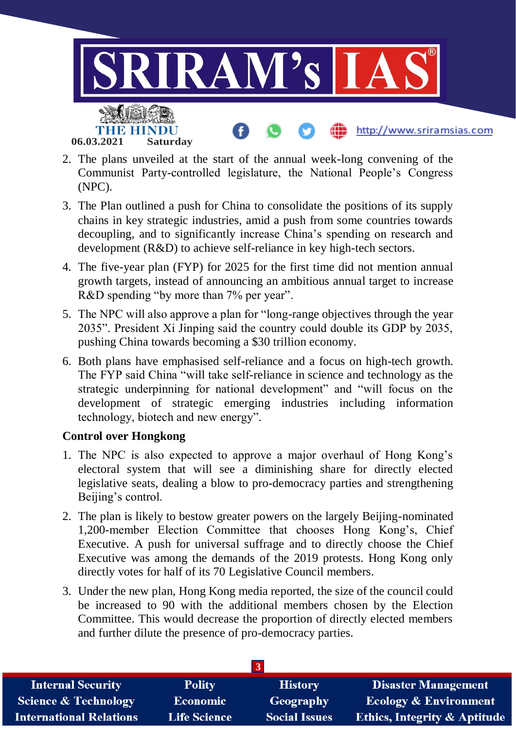

- 2. The plans unveiled at the start of the annual week-long convening of the Communist Party-controlled legislature, the National People's Congress (NPC).
- 3. The Plan outlined a push for China to consolidate the positions of its supply chains in key strategic industries, amid a push from some countries towards decoupling, and to significantly increase China's spending on research and development (R&D) to achieve self-reliance in key high-tech sectors.
- 4. The five-year plan (FYP) for 2025 for the first time did not mention annual growth targets, instead of announcing an ambitious annual target to increase R&D spending "by more than 7% per year".
- 5. The NPC will also approve a plan for "long-range objectives through the year 2035". President Xi Jinping said the country could double its GDP by 2035, pushing China towards becoming a \$30 trillion economy.
- 6. Both plans have emphasised self-reliance and a focus on high-tech growth. The FYP said China "will take self-reliance in science and technology as the strategic underpinning for national development" and "will focus on the development of strategic emerging industries including information technology, biotech and new energy".

#### **Control over Hongkong**

- 1. The NPC is also expected to approve a major overhaul of Hong Kong's electoral system that will see a diminishing share for directly elected legislative seats, dealing a blow to pro-democracy parties and strengthening Beijing's control.
- 2. The plan is likely to bestow greater powers on the largely Beijing-nominated 1,200-member Election Committee that chooses Hong Kong's, Chief Executive. A push for universal suffrage and to directly choose the Chief Executive was among the demands of the 2019 protests. Hong Kong only directly votes for half of its 70 Legislative Council members.
- 3. Under the new plan, Hong Kong media reported, the size of the council could be increased to 90 with the additional members chosen by the Election Committee. This would decrease the proportion of directly elected members and further dilute the presence of pro-democracy parties.

| <b>Internal Security</b>        | <b>Polity</b>       | <b>History</b>       | <b>Disaster Management</b>              |  |  |  |
|---------------------------------|---------------------|----------------------|-----------------------------------------|--|--|--|
| <b>Science &amp; Technology</b> | <b>Economic</b>     | Geography            | <b>Ecology &amp; Environment</b>        |  |  |  |
| <b>International Relations</b>  | <b>Life Science</b> | <b>Social Issues</b> | <b>Ethics, Integrity &amp; Aptitude</b> |  |  |  |